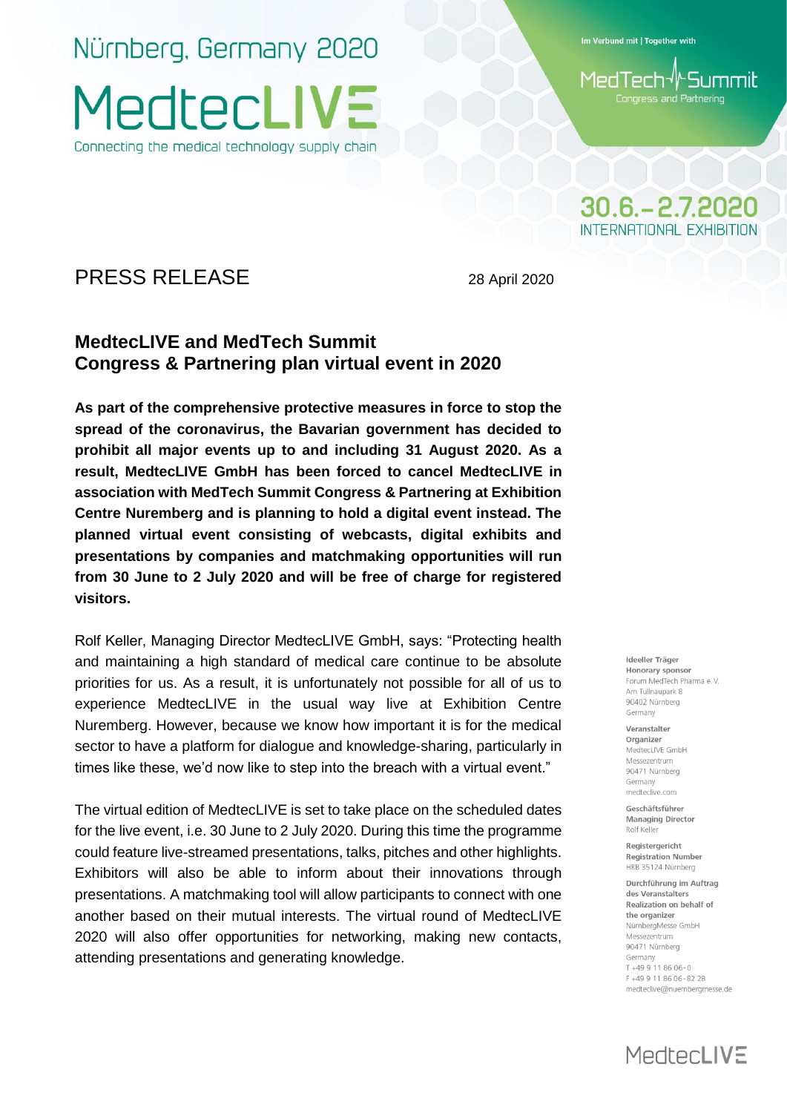Nürnberg, Germany 2020 MedtecLIV: Connecting the medical technology supply chain

Im Verbund mit | Together with

MedTech√l^Summit Congress and Partnering

## $30.6 - 2.7.2020$ INTERNATIONAL EXHIBITION

### PRESS RELEASE 28 April 2020

### **MedtecLIVE and MedTech Summit Congress & Partnering plan virtual event in 2020**

**As part of the comprehensive protective measures in force to stop the spread of the coronavirus, the Bavarian government has decided to prohibit all major events up to and including 31 August 2020. As a result, MedtecLIVE GmbH has been forced to cancel MedtecLIVE in association with MedTech Summit Congress & Partnering at Exhibition Centre Nuremberg and is planning to hold a digital event instead. The planned virtual event consisting of webcasts, digital exhibits and presentations by companies and matchmaking opportunities will run from 30 June to 2 July 2020 and will be free of charge for registered visitors.**

Rolf Keller, Managing Director MedtecLIVE GmbH, says: "Protecting health and maintaining a high standard of medical care continue to be absolute priorities for us. As a result, it is unfortunately not possible for all of us to experience MedtecLIVE in the usual way live at Exhibition Centre Nuremberg. However, because we know how important it is for the medical sector to have a platform for dialogue and knowledge-sharing, particularly in times like these, we'd now like to step into the breach with a virtual event."

The virtual edition of MedtecLIVE is set to take place on the scheduled dates for the live event, i.e. 30 June to 2 July 2020. During this time the programme could feature live-streamed presentations, talks, pitches and other highlights. Exhibitors will also be able to inform about their innovations through presentations. A matchmaking tool will allow participants to connect with one another based on their mutual interests. The virtual round of MedtecLIVE 2020 will also offer opportunities for networking, making new contacts, attending presentations and generating knowledge.

Ideeller Träger Honorary sponsor Forum MedTech Pharma e V Am Tullnaupark 8 90402 Nürnberg Germany

Veranstalter Organizer MedtecLIVE GmbH Messezentrum 90471 Nürnbera Germany medteclive.com

Geschäftsführer **Managing Director** Rolf Keller

Registergericht **Registration Number** HRB 35124 Nürnberg

Durchführung im Auftrag des Veranstalters Realization on behalf of the organizer NürnbergMesse GmbH Messezentrum 90471 Nürnberg Germany  $T + 499118606 - 0$ F+499118606-8228 medteclive@nuernbergmesse.de

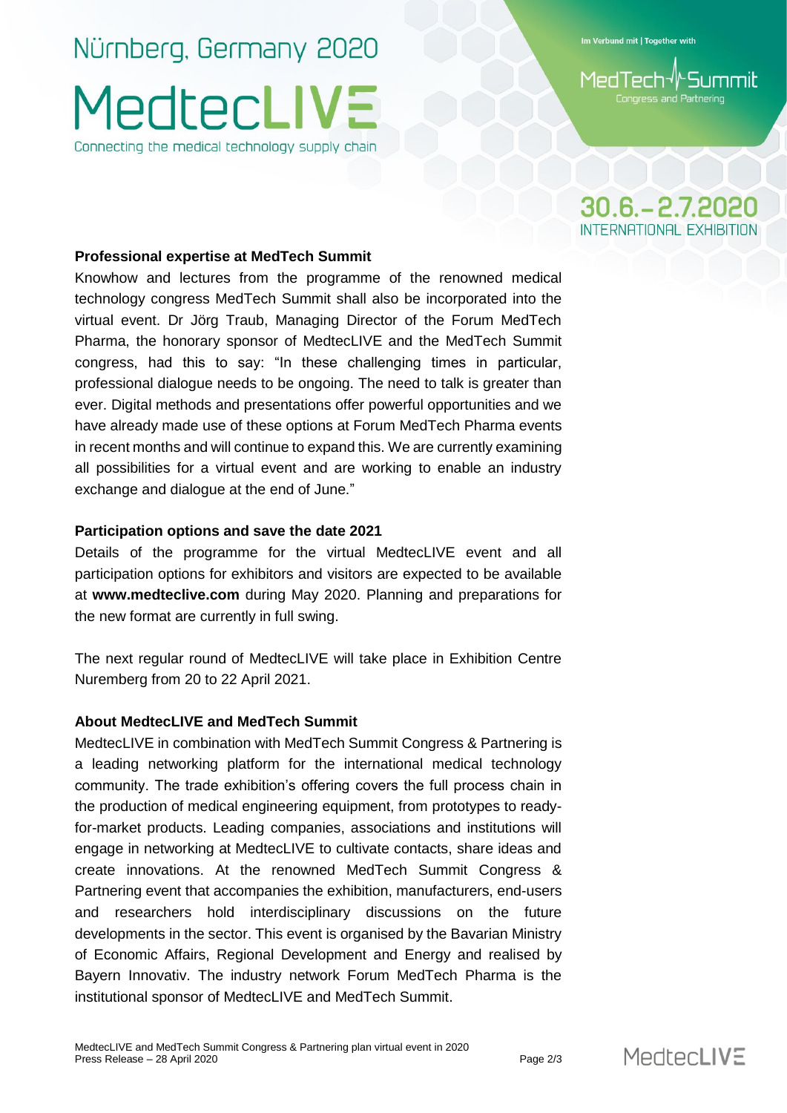## Nürnberg, Germany 2020 MedtecLIV: Connecting the medical technology supply chain

Im Verbund mit | Together with

#### l-Summit MedTech√ Congress and Partnering

## $30.6 - 2.7.2020$ INTERNATIONAL EXHIBITION

#### **Professional expertise at MedTech Summit**

Knowhow and lectures from the programme of the renowned medical technology congress MedTech Summit shall also be incorporated into the virtual event. Dr Jörg Traub, Managing Director of the Forum MedTech Pharma, the honorary sponsor of MedtecLIVE and the MedTech Summit congress, had this to say: "In these challenging times in particular, professional dialogue needs to be ongoing. The need to talk is greater than ever. Digital methods and presentations offer powerful opportunities and we have already made use of these options at Forum MedTech Pharma events in recent months and will continue to expand this. We are currently examining all possibilities for a virtual event and are working to enable an industry exchange and dialogue at the end of June."

#### **Participation options and save the date 2021**

Details of the programme for the virtual MedtecLIVE event and all participation options for exhibitors and visitors are expected to be available at **www.medteclive.com** during May 2020. Planning and preparations for the new format are currently in full swing.

The next regular round of MedtecLIVE will take place in Exhibition Centre Nuremberg from 20 to 22 April 2021.

#### **About MedtecLIVE and MedTech Summit**

MedtecLIVE in combination with MedTech Summit Congress & Partnering is a leading networking platform for the international medical technology community. The trade exhibition's offering covers the full process chain in the production of medical engineering equipment, from prototypes to readyfor-market products. Leading companies, associations and institutions will engage in networking at MedtecLIVE to cultivate contacts, share ideas and create innovations. At the renowned MedTech Summit Congress & Partnering event that accompanies the exhibition, manufacturers, end-users and researchers hold interdisciplinary discussions on the future developments in the sector. This event is organised by the Bavarian Ministry of Economic Affairs, Regional Development and Energy and realised by Bayern Innovativ. The industry network Forum MedTech Pharma is the institutional sponsor of MedtecLIVE and MedTech Summit.